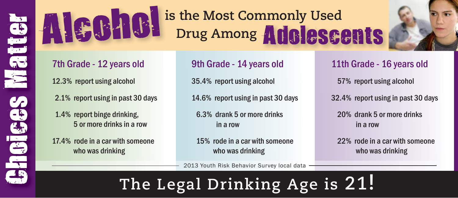

# Alcohol is the Most Commonly Used Drug Among **Adolescents**



## 7th Grade - 12 years old

12.3% report using alcohol

- 2.1% report using in past 30 days
- 1.4% report binge drinking, 5 or more drinks in a row

17.4% rode in a car with someone who was drinking

### 9th Grade - 14 years old

35.4% report using alcohol

14.6% report using in past 30 days

 6.3% drank 5 or more drinks in a row

 15% rode in a car with someone who was drinking

2013 Youth Risk Behavior Survey local data

## **The Legal Drinking Age is 21!**

#### 11th Grade - 16 years old

57% report using alcohol

32.4% report using in past 30 days

 20% drank 5 or more drinks in a row

 22% rode in a car with someone who was drinking